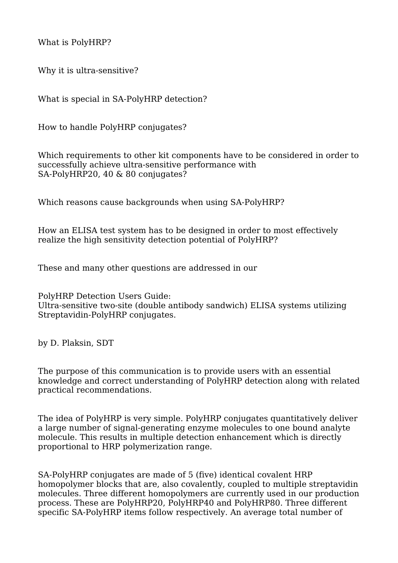What is PolyHRP?

Why it is ultra-sensitive?

What is special in SA-PolyHRP detection?

How to handle PolyHRP conjugates?

Which requirements to other kit components have to be considered in order to successfully achieve ultra-sensitive performance with SA-PolyHRP20, 40 & 80 conjugates?

Which reasons cause backgrounds when using SA-PolyHRP?

How an ELISA test system has to be designed in order to most effectively realize the high sensitivity detection potential of PolyHRP?

These and many other questions are addressed in our

PolyHRP Detection Users Guide: Ultra-sensitive two-site (double antibody sandwich) ELISA systems utilizing Streptavidin-PolyHRP conjugates.

by D. Plaksin, SDT

The purpose of this communication is to provide users with an essential knowledge and correct understanding of PolyHRP detection along with related practical recommendations.

The idea of PolyHRP is very simple. PolyHRP conjugates quantitatively deliver a large number of signal-generating enzyme molecules to one bound analyte molecule. This results in multiple detection enhancement which is directly proportional to HRP polymerization range.

SA-PolyHRP conjugates are made of 5 (five) identical covalent HRP homopolymer blocks that are, also covalently, coupled to multiple streptavidin molecules. Three different homopolymers are currently used in our production process. These are PolyHRP20, PolyHRP40 and PolyHRP80. Three different specific SA-PolyHRP items follow respectively. An average total number of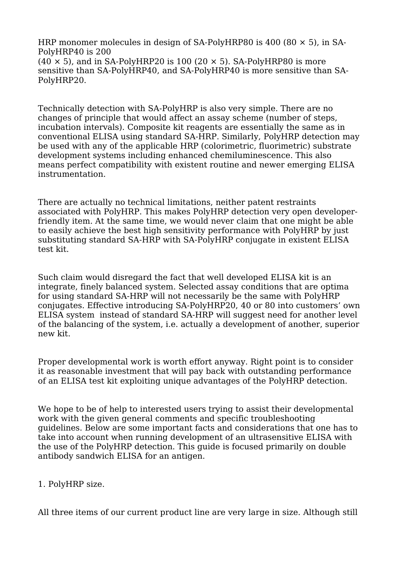HRP monomer molecules in design of SA-PolyHRP80 is 400 (80  $\times$  5), in SA-PolyHRP40 is 200  $(40 \times 5)$ , and in SA-PolyHRP20 is 100 (20  $\times$  5). SA-PolyHRP80 is more sensitive than SA-PolyHRP40, and SA-PolyHRP40 is more sensitive than SA-PolyHRP20.

Technically detection with SA-PolyHRP is also very simple. There are no changes of principle that would affect an assay scheme (number of steps, incubation intervals). Composite kit reagents are essentially the same as in conventional ELISA using standard SA-HRP. Similarly, PolyHRP detection may be used with any of the applicable HRP (colorimetric, fluorimetric) substrate development systems including enhanced chemiluminescence. This also means perfect compatibility with existent routine and newer emerging ELISA instrumentation.

There are actually no technical limitations, neither patent restraints associated with PolyHRP. This makes PolyHRP detection very open developerfriendly item. At the same time, we would never claim that one might be able to easily achieve the best high sensitivity performance with PolyHRP by just substituting standard SA-HRP with SA-PolyHRP conjugate in existent ELISA test kit.

Such claim would disregard the fact that well developed ELISA kit is an integrate, finely balanced system. Selected assay conditions that are optima for using standard SA-HRP will not necessarily be the same with PolyHRP conjugates. Effective introducing SA-PolyHRP20, 40 or 80 into customers' own ELISA system instead of standard SA-HRP will suggest need for another level of the balancing of the system, i.e. actually a development of another, superior new kit.

Proper developmental work is worth effort anyway. Right point is to consider it as reasonable investment that will pay back with outstanding performance of an ELISA test kit exploiting unique advantages of the PolyHRP detection.

We hope to be of help to interested users trying to assist their developmental work with the given general comments and specific troubleshooting guidelines. Below are some important facts and considerations that one has to take into account when running development of an ultrasensitive ELISA with the use of the PolyHRP detection. This guide is focused primarily on double antibody sandwich ELISA for an antigen.

1. PolyHRP size.

All three items of our current product line are very large in size. Although still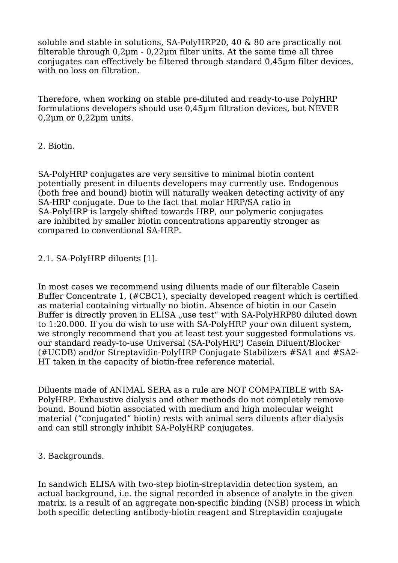soluble and stable in solutions, SA-PolyHRP20, 40 & 80 are practically not filterable through  $0.2\mu$ m -  $0.22\mu$ m filter units. At the same time all three conjugates can effectively be filtered through standard 0,45µm filter devices, with no loss on filtration.

Therefore, when working on stable pre-diluted and ready-to-use PolyHRP formulations developers should use 0,45µm filtration devices, but NEVER  $0.2 \mu m$  or  $0.22 \mu m$  units.

## 2. Biotin.

SA-PolyHRP conjugates are very sensitive to minimal biotin content potentially present in diluents developers may currently use. Endogenous (both free and bound) biotin will naturally weaken detecting activity of any SA-HRP conjugate. Due to the fact that molar HRP/SA ratio in SA-PolyHRP is largely shifted towards HRP, our polymeric conjugates are inhibited by smaller biotin concentrations apparently stronger as compared to conventional SA-HRP.

# 2.1. SA-PolyHRP diluents [1].

In most cases we recommend using diluents made of our filterable Casein Buffer Concentrate 1, (#CBC1), specialty developed reagent which is certified as material containing virtually no biotin. Absence of biotin in our Casein Buffer is directly proven in ELISA "use test" with SA-PolyHRP80 diluted down to 1:20.000. If you do wish to use with SA-PolyHRP your own diluent system, we strongly recommend that you at least test your suggested formulations vs. our standard ready-to-use Universal (SA-PolyHRP) Casein Diluent/Blocker (#UCDB) and/or Streptavidin-PolyHRP Conjugate Stabilizers #SA1 and #SA2- HT taken in the capacity of biotin-free reference material.

Diluents made of ANIMAL SERA as a rule are NOT COMPATIBLE with SA-PolyHRP. Exhaustive dialysis and other methods do not completely remove bound. Bound biotin associated with medium and high molecular weight material ("conjugated" biotin) rests with animal sera diluents after dialysis and can still strongly inhibit SA-PolyHRP conjugates.

### 3. Backgrounds.

In sandwich ELISA with two-step biotin-streptavidin detection system, an actual background, i.e. the signal recorded in absence of analyte in the given matrix, is a result of an aggregate non-specific binding (NSB) process in which both specific detecting antibody-biotin reagent and Streptavidin conjugate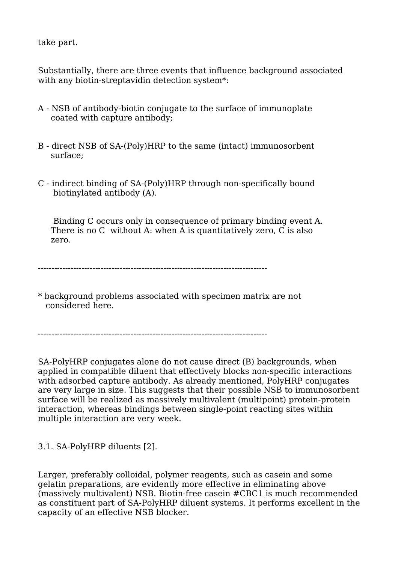take part.

Substantially, there are three events that influence background associated with any biotin-streptavidin detection system\*:

- A NSB of antibody-biotin conjugate to the surface of immunoplate coated with capture antibody;
- B direct NSB of SA-(Poly)HRP to the same (intact) immunosorbent surface;
- C indirect binding of SA-(Poly)HRP through non-specifically bound biotinylated antibody (A).

 Binding C occurs only in consequence of primary binding event A. There is no C without A: when A is quantitatively zero. C is also zero.

 $-$ 

\* background problems associated with specimen matrix are not considered here.

 $-$ 

SA-PolyHRP conjugates alone do not cause direct (B) backgrounds, when applied in compatible diluent that effectively blocks non-specific interactions with adsorbed capture antibody. As already mentioned, PolyHRP conjugates are very large in size. This suggests that their possible NSB to immunosorbent surface will be realized as massively multivalent (multipoint) protein-protein interaction, whereas bindings between single-point reacting sites within multiple interaction are very week.

3.1. SA-PolyHRP diluents [2].

Larger, preferably colloidal, polymer reagents, such as casein and some gelatin preparations, are evidently more effective in eliminating above (massively multivalent) NSB. Biotin-free casein #CBC1 is much recommended as constituent part of SA-PolyHRP diluent systems. It performs excellent in the capacity of an effective NSB blocker.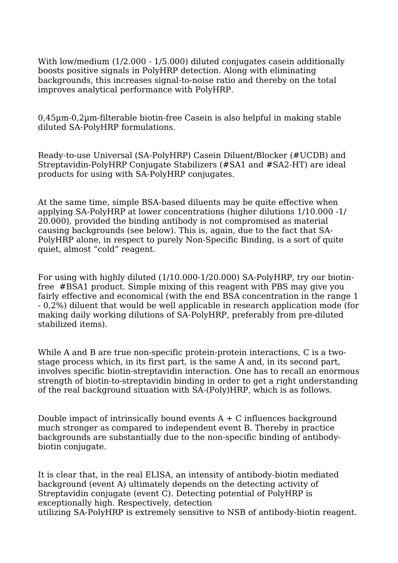With low/medium (1/2.000 - 1/5.000) diluted conjugates casein additionally boosts positive signals in PolyHRP detection. Along with eliminating backgrounds, this increases signal-to-noise ratio and thereby on the total improves analytical performance with PolyHRP.

0,45µm-0,2µm-filterable biotin-free Casein is also helpful in making stable diluted SA-PolyHRP formulations.

Ready-to-use Universal (SA-PolyHRP) Casein Diluent/Blocker (#UCDB) and Streptavidin-PolyHRP Conjugate Stabilizers (#SA1 and #SA2-HT) are ideal products for using with SA-PolyHRP conjugates.

At the same time, simple BSA-based diluents may be quite effective when applying SA-PolyHRP at lower concentrations (higher dilutions 1/10.000 -1/ 20.000), provided the binding antibody is not compromised as material causing backgrounds (see below). This is, again, due to the fact that SA-PolyHRP alone, in respect to purely Non-Specific Binding, is a sort of quite quiet, almost "cold" reagent.

For using with highly diluted (1/10.000-1/20.000) SA-PolyHRP, try our biotinfree #BSA1 product. Simple mixing of this reagent with PBS may give you fairly effective and economical (with the end BSA concentration in the range 1 - 0,2%) diluent that would be well applicable in research application mode (for making daily working dilutions of SA-PolyHRP, preferably from pre-diluted stabilized items).

While A and B are true non-specific protein-protein interactions, C is a twostage process which, in its first part, is the same A and, in its second part, involves specific biotin-streptavidin interaction. One has to recall an enormous strength of biotin-to-streptavidin binding in order to get a right understanding of the real background situation with SA-(Poly)HRP, which is as follows.

Double impact of intrinsically bound events  $A + C$  influences background much stronger as compared to independent event B. Thereby in practice backgrounds are substantially due to the non-specific binding of antibodybiotin conjugate.

It is clear that, in the real ELISA, an intensity of antibody-biotin mediated background (event A) ultimately depends on the detecting activity of Streptavidin conjugate (event C). Detecting potential of PolyHRP is exceptionally high. Respectively, detection utilizing SA-PolyHRP is extremely sensitive to NSB of antibody-biotin reagent.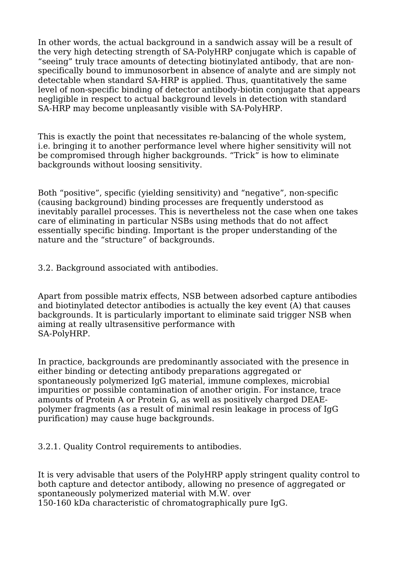In other words, the actual background in a sandwich assay will be a result of the very high detecting strength of SA-PolyHRP conjugate which is capable of "seeing" truly trace amounts of detecting biotinylated antibody, that are nonspecifically bound to immunosorbent in absence of analyte and are simply not detectable when standard SA-HRP is applied. Thus, quantitatively the same level of non-specific binding of detector antibody-biotin conjugate that appears negligible in respect to actual background levels in detection with standard SA-HRP may become unpleasantly visible with SA-PolyHRP.

This is exactly the point that necessitates re-balancing of the whole system, i.e. bringing it to another performance level where higher sensitivity will not be compromised through higher backgrounds. "Trick" is how to eliminate backgrounds without loosing sensitivity.

Both "positive", specific (yielding sensitivity) and "negative", non-specific (causing background) binding processes are frequently understood as inevitably parallel processes. This is nevertheless not the case when one takes care of eliminating in particular NSBs using methods that do not affect essentially specific binding. Important is the proper understanding of the nature and the "structure" of backgrounds.

3.2. Background associated with antibodies.

Apart from possible matrix effects, NSB between adsorbed capture antibodies and biotinylated detector antibodies is actually the key event (A) that causes backgrounds. It is particularly important to eliminate said trigger NSB when aiming at really ultrasensitive performance with SA-PolyHRP.

In practice, backgrounds are predominantly associated with the presence in either binding or detecting antibody preparations aggregated or spontaneously polymerized IgG material, immune complexes, microbial impurities or possible contamination of another origin. For instance, trace amounts of Protein A or Protein G, as well as positively charged DEAEpolymer fragments (as a result of minimal resin leakage in process of IgG purification) may cause huge backgrounds.

3.2.1. Quality Control requirements to antibodies.

It is very advisable that users of the PolyHRP apply stringent quality control to both capture and detector antibody, allowing no presence of aggregated or spontaneously polymerized material with M.W. over 150-160 kDa characteristic of chromatographically pure IgG.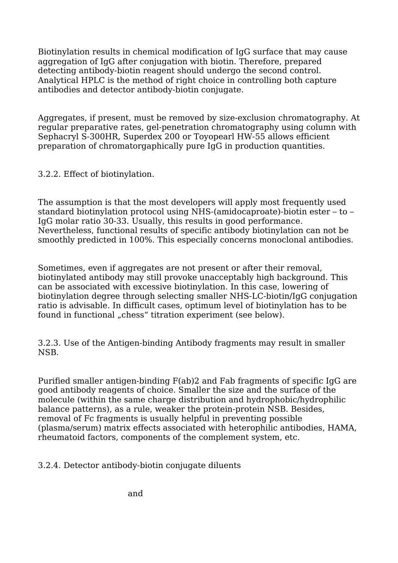Biotinylation results in chemical modification of IgG surface that may cause aggregation of IgG after conjugation with biotin. Therefore, prepared detecting antibody-biotin reagent should undergo the second control. Analytical HPLC is the method of right choice in controlling both capture antibodies and detector antibody-biotin conjugate.

Aggregates, if present, must be removed by size-exclusion chromatography. At regular preparative rates, gel-penetration chromatography using column with Sephacryl S-300HR, Superdex 200 or Toyopearl HW-55 allows efficient preparation of chromatorgaphically pure IgG in production quantities.

3.2.2. Effect of biotinylation.

The assumption is that the most developers will apply most frequently used standard biotinylation protocol using NHS-(amidocaproate)-biotin ester – to – IgG molar ratio 30-33. Usually, this results in good performance. Nevertheless, functional results of specific antibody biotinylation can not be smoothly predicted in 100%. This especially concerns monoclonal antibodies.

Sometimes, even if aggregates are not present or after their removal. biotinylated antibody may still provoke unacceptably high background. This can be associated with excessive biotinylation. In this case, lowering of biotinylation degree through selecting smaller NHS-LC-biotin/IgG conjugation ratio is advisable. In difficult cases, optimum level of biotinylation has to be found in functional "chess" titration experiment (see below).

3.2.3. Use of the Antigen-binding Antibody fragments may result in smaller NSB.

Purified smaller antigen-binding F(ab)2 and Fab fragments of specific IgG are good antibody reagents of choice. Smaller the size and the surface of the molecule (within the same charge distribution and hydrophobic/hydrophilic balance patterns), as a rule, weaker the protein-protein NSB. Besides, removal of Fc fragments is usually helpful in preventing possible (plasma/serum) matrix effects associated with heterophilic antibodies, HAMA, rheumatoid factors, components of the complement system, etc.

3.2.4. Detector antibody-biotin conjugate diluents

and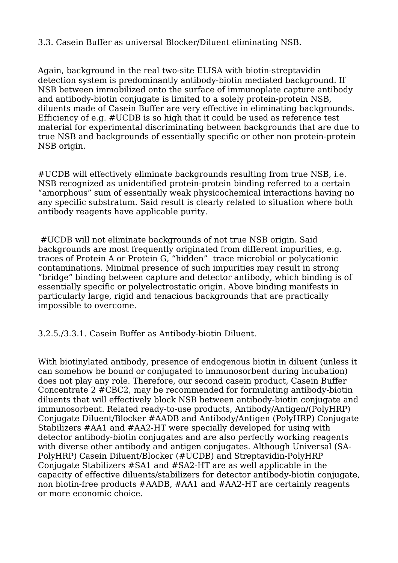3.3. Casein Buffer as universal Blocker/Diluent eliminating NSB.

Again, background in the real two-site ELISA with biotin-streptavidin detection system is predominantly antibody-biotin mediated background. If NSB between immobilized onto the surface of immunoplate capture antibody and antibody-biotin conjugate is limited to a solely protein-protein NSB, diluents made of Casein Buffer are very effective in eliminating backgrounds. Efficiency of e.g. #UCDB is so high that it could be used as reference test material for experimental discriminating between backgrounds that are due to true NSB and backgrounds of essentially specific or other non protein-protein NSB origin.

#UCDB will effectively eliminate backgrounds resulting from true NSB, i.e. NSB recognized as unidentified protein-protein binding referred to a certain "amorphous" sum of essentially weak physicochemical interactions having no any specific substratum. Said result is clearly related to situation where both antibody reagents have applicable purity.

#UCDB will not eliminate backgrounds of not true NSB origin. Said backgrounds are most frequently originated from different impurities, e.g. traces of Protein A or Protein G, "hidden" trace microbial or polycationic contaminations. Minimal presence of such impurities may result in strong "bridge" binding between capture and detector antibody, which binding is of essentially specific or polyelectrostatic origin. Above binding manifests in particularly large, rigid and tenacious backgrounds that are practically impossible to overcome.

3.2.5./3.3.1. Casein Buffer as Antibody-biotin Diluent.

With biotinylated antibody, presence of endogenous biotin in diluent (unless it can somehow be bound or conjugated to immunosorbent during incubation) does not play any role. Therefore, our second casein product, Casein Buffer Concentrate 2 #CBC2, may be recommended for formulating antibody-biotin diluents that will effectively block NSB between antibody-biotin conjugate and immunosorbent. Related ready-to-use products, Antibody/Antigen/(PolyHRP) Conjugate Diluent/Blocker #AADB and Antibody/Antigen (PolyHRP) Conjugate Stabilizers #AA1 and #AA2-HT were specially developed for using with detector antibody-biotin conjugates and are also perfectly working reagents with diverse other antibody and antigen conjugates. Although Universal (SA-PolyHRP) Casein Diluent/Blocker (#UCDB) and Streptavidin-PolyHRP Conjugate Stabilizers #SA1 and #SA2-HT are as well applicable in the capacity of effective diluents/stabilizers for detector antibody-biotin conjugate, non biotin-free products #AADB, #AA1 and #AA2-HT are certainly reagents or more economic choice.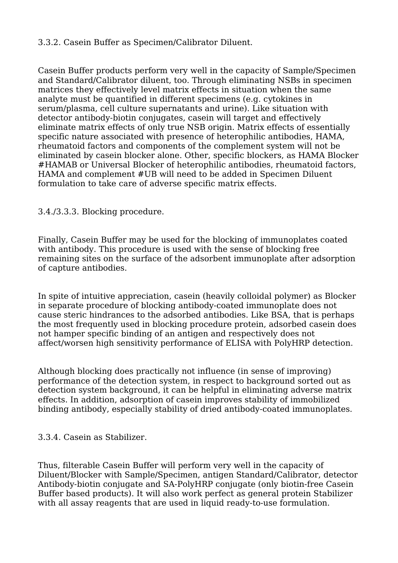### 3.3.2. Casein Buffer as Specimen/Calibrator Diluent.

Casein Buffer products perform very well in the capacity of Sample/Specimen and Standard/Calibrator diluent, too. Through eliminating NSBs in specimen matrices they effectively level matrix effects in situation when the same analyte must be quantified in different specimens (e.g. cytokines in serum/plasma, cell culture supernatants and urine). Like situation with detector antibody-biotin conjugates, casein will target and effectively eliminate matrix effects of only true NSB origin. Matrix effects of essentially specific nature associated with presence of heterophilic antibodies, HAMA, rheumatoid factors and components of the complement system will not be eliminated by casein blocker alone. Other, specific blockers, as HAMA Blocker #HAMAB or Universal Blocker of heterophilic antibodies, rheumatoid factors, HAMA and complement #UB will need to be added in Specimen Diluent formulation to take care of adverse specific matrix effects.

3.4./3.3.3. Blocking procedure.

Finally, Casein Buffer may be used for the blocking of immunoplates coated with antibody. This procedure is used with the sense of blocking free remaining sites on the surface of the adsorbent immunoplate after adsorption of capture antibodies.

In spite of intuitive appreciation, casein (heavily colloidal polymer) as Blocker in separate procedure of blocking antibody-coated immunoplate does not cause steric hindrances to the adsorbed antibodies. Like BSA, that is perhaps the most frequently used in blocking procedure protein, adsorbed casein does not hamper specific binding of an antigen and respectively does not affect/worsen high sensitivity performance of ELISA with PolyHRP detection.

Although blocking does practically not influence (in sense of improving) performance of the detection system, in respect to background sorted out as detection system background, it can be helpful in eliminating adverse matrix effects. In addition, adsorption of casein improves stability of immobilized binding antibody, especially stability of dried antibody-coated immunoplates.

3.3.4. Casein as Stabilizer.

Thus, filterable Casein Buffer will perform very well in the capacity of Diluent/Blocker with Sample/Specimen, antigen Standard/Calibrator, detector Antibody-biotin conjugate and SA-PolyHRP conjugate (only biotin-free Casein Buffer based products). It will also work perfect as general protein Stabilizer with all assay reagents that are used in liquid ready-to-use formulation.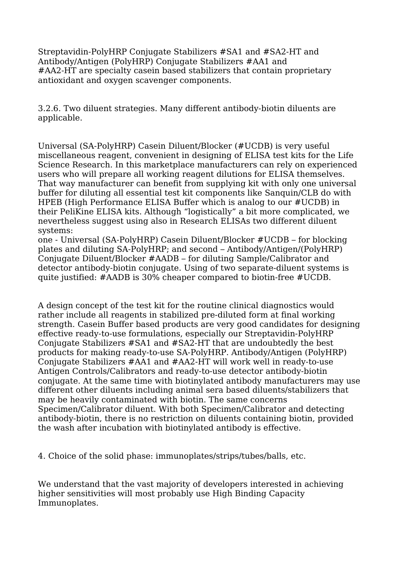Streptavidin-PolyHRP Conjugate Stabilizers #SA1 and #SA2-HT and Antibody/Antigen (PolyHRP) Conjugate Stabilizers #AA1 and #AA2-HT are specialty casein based stabilizers that contain proprietary antioxidant and oxygen scavenger components.

3.2.6. Two diluent strategies. Many different antibody-biotin diluents are applicable.

Universal (SA-PolyHRP) Casein Diluent/Blocker (#UCDB) is very useful miscellaneous reagent, convenient in designing of ELISA test kits for the Life Science Research. In this marketplace manufacturers can rely on experienced users who will prepare all working reagent dilutions for ELISA themselves. That way manufacturer can benefit from supplying kit with only one universal buffer for diluting all essential test kit components like Sanquin/CLB do with HPEB (High Performance ELISA Buffer which is analog to our #UCDB) in their PeliKine ELISA kits. Although "logistically" a bit more complicated, we nevertheless suggest using also in Research ELISAs two different diluent systems:

one - Universal (SA-PolyHRP) Casein Diluent/Blocker #UCDB – for blocking plates and diluting SA-PolyHRP; and second – Antibody/Antigen/(PolyHRP) Conjugate Diluent/Blocker #AADB – for diluting Sample/Calibrator and detector antibody-biotin conjugate. Using of two separate-diluent systems is quite justified: #AADB is 30% cheaper compared to biotin-free #UCDB.

A design concept of the test kit for the routine clinical diagnostics would rather include all reagents in stabilized pre-diluted form at final working strength. Casein Buffer based products are very good candidates for designing effective ready-to-use formulations, especially our Streptavidin-PolyHRP Conjugate Stabilizers #SA1 and #SA2-HT that are undoubtedly the best products for making ready-to-use SA-PolyHRP. Antibody/Antigen (PolyHRP) Conjugate Stabilizers #AA1 and #AA2-HT will work well in ready-to-use Antigen Controls/Calibrators and ready-to-use detector antibody-biotin conjugate. At the same time with biotinylated antibody manufacturers may use different other diluents including animal sera based diluents/stabilizers that may be heavily contaminated with biotin. The same concerns Specimen/Calibrator diluent. With both Specimen/Calibrator and detecting antibody-biotin, there is no restriction on diluents containing biotin, provided the wash after incubation with biotinylated antibody is effective.

4. Choice of the solid phase: immunoplates/strips/tubes/balls, etc.

We understand that the vast majority of developers interested in achieving higher sensitivities will most probably use High Binding Capacity Immunoplates.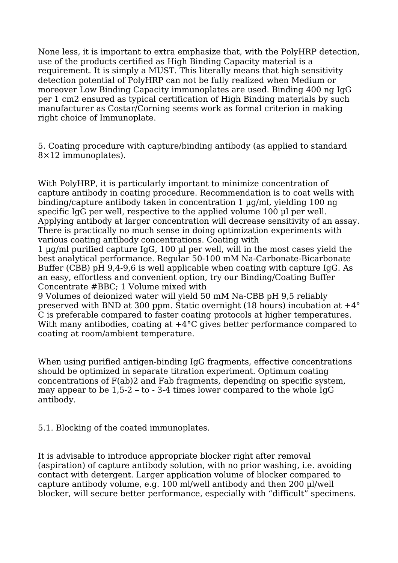None less, it is important to extra emphasize that, with the PolyHRP detection, use of the products certified as High Binding Capacity material is a requirement. It is simply a MUST. This literally means that high sensitivity detection potential of PolyHRP can not be fully realized when Medium or moreover Low Binding Capacity immunoplates are used. Binding 400 ng IgG per 1 cm2 ensured as typical certification of High Binding materials by such manufacturer as Costar/Corning seems work as formal criterion in making right choice of Immunoplate.

5. Coating procedure with capture/binding antibody (as applied to standard 8×12 immunoplates).

With PolyHRP, it is particularly important to minimize concentration of capture antibody in coating procedure. Recommendation is to coat wells with binding/capture antibody taken in concentration 1 µg/ml, yielding 100 ng specific IgG per well, respective to the applied volume 100 µl per well. Applying antibody at larger concentration will decrease sensitivity of an assay. There is practically no much sense in doing optimization experiments with various coating antibody concentrations. Coating with

1 µg/ml purified capture IgG, 100 µl per well, will in the most cases yield the best analytical performance. Regular 50-100 mM Na-Carbonate-Bicarbonate Buffer (CBB) pH 9,4-9,6 is well applicable when coating with capture IgG. As an easy, effortless and convenient option, try our Binding/Coating Buffer Concentrate #BBC; 1 Volume mixed with

9 Volumes of deionized water will yield 50 mM Na-CBB pH 9,5 reliably preserved with BND at 300 ppm. Static overnight (18 hours) incubation at +4° C is preferable compared to faster coating protocols at higher temperatures. With many antibodies, coating at  $+4^{\circ}$ C gives better performance compared to coating at room/ambient temperature.

When using purified antigen-binding IgG fragments, effective concentrations should be optimized in separate titration experiment. Optimum coating concentrations of F(ab)2 and Fab fragments, depending on specific system, may appear to be 1,5-2 – to - 3-4 times lower compared to the whole IgG antibody.

5.1. Blocking of the coated immunoplates.

It is advisable to introduce appropriate blocker right after removal (aspiration) of capture antibody solution, with no prior washing, i.e. avoiding contact with detergent. Larger application volume of blocker compared to capture antibody volume, e.g. 100 ml/well antibody and then 200 µl/well blocker, will secure better performance, especially with "difficult" specimens.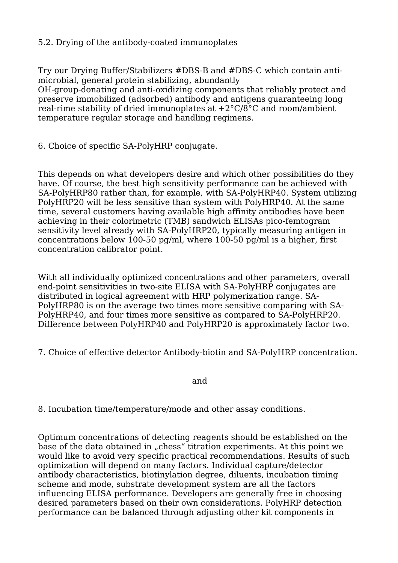## 5.2. Drying of the antibody-coated immunoplates

Try our Drying Buffer/Stabilizers #DBS-B and #DBS-C which contain antimicrobial, general protein stabilizing, abundantly OH-group-donating and anti-oxidizing components that reliably protect and preserve immobilized (adsorbed) antibody and antigens guaranteeing long real-rime stability of dried immunoplates at  $+2^{\circ}C/8^{\circ}C$  and room/ambient temperature regular storage and handling regimens.

6. Choice of specific SA-PolyHRP conjugate.

This depends on what developers desire and which other possibilities do they have. Of course, the best high sensitivity performance can be achieved with SA-PolyHRP80 rather than, for example, with SA-PolyHRP40. System utilizing PolyHRP20 will be less sensitive than system with PolyHRP40. At the same time, several customers having available high affinity antibodies have been achieving in their colorimetric (TMB) sandwich ELISAs pico-femtogram sensitivity level already with SA-PolyHRP20, typically measuring antigen in concentrations below 100-50 pg/ml, where 100-50 pg/ml is a higher, first concentration calibrator point.

With all individually optimized concentrations and other parameters, overall end-point sensitivities in two-site ELISA with SA-PolyHRP conjugates are distributed in logical agreement with HRP polymerization range. SA-PolyHRP80 is on the average two times more sensitive comparing with SA-PolyHRP40, and four times more sensitive as compared to SA-PolyHRP20. Difference between PolyHRP40 and PolyHRP20 is approximately factor two.

7. Choice of effective detector Antibody-biotin and SA-PolyHRP concentration.

and the contract of the contract of the contract of the contract of the contract of the contract of the contract of the contract of the contract of the contract of the contract of the contract of the contract of the contra

8. Incubation time/temperature/mode and other assay conditions.

Optimum concentrations of detecting reagents should be established on the base of the data obtained in "chess" titration experiments. At this point we would like to avoid very specific practical recommendations. Results of such optimization will depend on many factors. Individual capture/detector antibody characteristics, biotinylation degree, diluents, incubation timing scheme and mode, substrate development system are all the factors influencing ELISA performance. Developers are generally free in choosing desired parameters based on their own considerations. PolyHRP detection performance can be balanced through adjusting other kit components in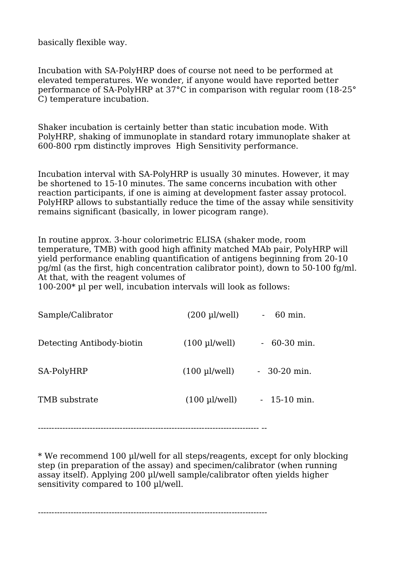basically flexible way.

Incubation with SA-PolyHRP does of course not need to be performed at elevated temperatures. We wonder, if anyone would have reported better performance of SA-PolyHRP at 37°C in comparison with regular room (18-25° C) temperature incubation.

Shaker incubation is certainly better than static incubation mode. With PolyHRP, shaking of immunoplate in standard rotary immunoplate shaker at 600-800 rpm distinctly improves High Sensitivity performance.

Incubation interval with SA-PolyHRP is usually 30 minutes. However, it may be shortened to 15-10 minutes. The same concerns incubation with other reaction participants, if one is aiming at development faster assay protocol. PolyHRP allows to substantially reduce the time of the assay while sensitivity remains significant (basically, in lower picogram range).

In routine approx. 3-hour colorimetric ELISA (shaker mode, room temperature, TMB) with good high affinity matched MAb pair, PolyHRP will yield performance enabling quantification of antigens beginning from 20-10 pg/ml (as the first, high concentration calibrator point), down to 50-100 fg/ml. At that, with the reagent volumes of

100-200\* µl per well, incubation intervals will look as follows:

| Sample/Calibrator         | $(200 \mu$ /well)       | 60 min.       |
|---------------------------|-------------------------|---------------|
| Detecting Antibody-biotin | $(100 \mu$ /well)       | $-60-30$ min. |
| SA-PolyHRP                | $(100 \mu$ l/well)      | $-30-20$ min. |
| TMB substrate             | $(100 \text{ pl/well})$ | $-15-10$ min. |

--------------------------------------------------------------------------------- --

\* We recommend 100 µl/well for all steps/reagents, except for only blocking step (in preparation of the assay) and specimen/calibrator (when running assay itself). Applying 200 µl/well sample/calibrator often yields higher sensitivity compared to 100 µl/well.

------------------------------------------------------------------------------------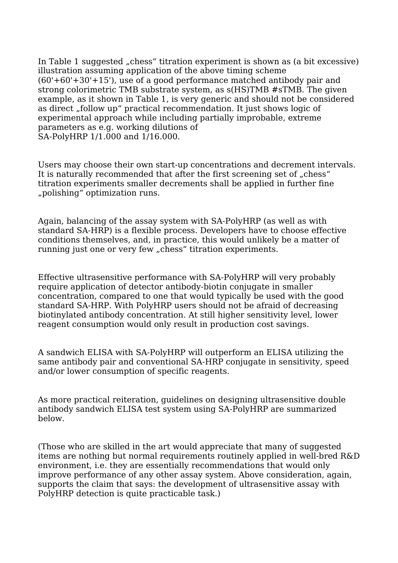In Table 1 suggested "chess" titration experiment is shown as (a bit excessive) illustration assuming application of the above timing scheme  $(60'+60'+30'+15')$ , use of a good performance matched antibody pair and strong colorimetric TMB substrate system, as s(HS)TMB #sTMB. The given example, as it shown in Table 1, is very generic and should not be considered as direct "follow up" practical recommendation. It just shows logic of experimental approach while including partially improbable, extreme parameters as e.g. working dilutions of SA-PolyHRP 1/1.000 and 1/16.000.

Users may choose their own start-up concentrations and decrement intervals. It is naturally recommended that after the first screening set of "chess" titration experiments smaller decrements shall be applied in further fine "polishing" optimization runs.

Again, balancing of the assay system with SA-PolyHRP (as well as with standard SA-HRP) is a flexible process. Developers have to choose effective conditions themselves, and, in practice, this would unlikely be a matter of running just one or very few "chess" titration experiments.

Effective ultrasensitive performance with SA-PolyHRP will very probably require application of detector antibody-biotin conjugate in smaller concentration, compared to one that would typically be used with the good standard SA-HRP. With PolyHRP users should not be afraid of decreasing biotinylated antibody concentration. At still higher sensitivity level, lower reagent consumption would only result in production cost savings.

A sandwich ELISA with SA-PolyHRP will outperform an ELISA utilizing the same antibody pair and conventional SA-HRP conjugate in sensitivity, speed and/or lower consumption of specific reagents.

As more practical reiteration, guidelines on designing ultrasensitive double antibody sandwich ELISA test system using SA-PolyHRP are summarized below.

(Those who are skilled in the art would appreciate that many of suggested items are nothing but normal requirements routinely applied in well-bred R&D environment, i.e. they are essentially recommendations that would only improve performance of any other assay system. Above consideration, again, supports the claim that says: the development of ultrasensitive assay with PolyHRP detection is quite practicable task.)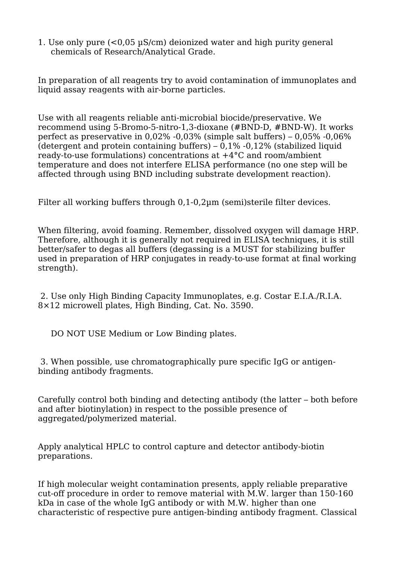1. Use only pure (<0,05 µS/cm) deionized water and high purity general chemicals of Research/Analytical Grade.

In preparation of all reagents try to avoid contamination of immunoplates and liquid assay reagents with air-borne particles.

Use with all reagents reliable anti-microbial biocide/preservative. We recommend using 5-Bromo-5-nitro-1,3-dioxane (#BND-D, #BND-W). It works perfect as preservative in 0,02% -0,03% (simple salt buffers) – 0,05% -0,06% (detergent and protein containing buffers)  $-0.1\%$  -0.12% (stabilized liquid ready-to-use formulations) concentrations at +4°C and room/ambient temperature and does not interfere ELISA performance (no one step will be affected through using BND including substrate development reaction).

Filter all working buffers through 0,1-0,2µm (semi)sterile filter devices.

When filtering, avoid foaming. Remember, dissolved oxygen will damage HRP. Therefore, although it is generally not required in ELISA techniques, it is still better/safer to degas all buffers (degassing is a MUST for stabilizing buffer used in preparation of HRP conjugates in ready-to-use format at final working strength).

2. Use only High Binding Capacity Immunoplates, e.g. Costar E.I.A./R.I.A. 8×12 microwell plates, High Binding, Cat. No. 3590.

DO NOT USE Medium or Low Binding plates.

3. When possible, use chromatographically pure specific IgG or antigenbinding antibody fragments.

Carefully control both binding and detecting antibody (the latter – both before and after biotinylation) in respect to the possible presence of aggregated/polymerized material.

Apply analytical HPLC to control capture and detector antibody-biotin preparations.

If high molecular weight contamination presents, apply reliable preparative cut-off procedure in order to remove material with M.W. larger than 150-160 kDa in case of the whole IgG antibody or with M.W. higher than one characteristic of respective pure antigen-binding antibody fragment. Classical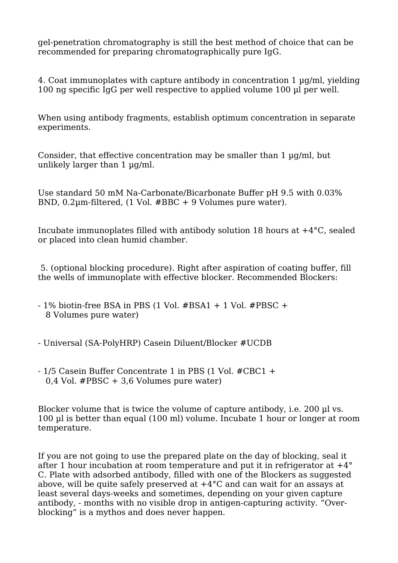gel-penetration chromatography is still the best method of choice that can be recommended for preparing chromatographically pure IgG.

4. Coat immunoplates with capture antibody in concentration 1 µg/ml, yielding 100 ng specific IgG per well respective to applied volume 100 µl per well.

When using antibody fragments, establish optimum concentration in separate experiments.

Consider, that effective concentration may be smaller than 1 ug/ml, but unlikely larger than 1  $\mu$ g/ml.

Use standard 50 mM Na-Carbonate/Bicarbonate Buffer pH 9.5 with 0.03% BND, 0.2µm-filtered, (1 Vol. #BBC + 9 Volumes pure water).

Incubate immunoplates filled with antibody solution 18 hours at +4°C, sealed or placed into clean humid chamber.

5. (optional blocking procedure). Right after aspiration of coating buffer, fill the wells of immunoplate with effective blocker. Recommended Blockers:

- $-1\%$  biotin-free BSA in PBS (1 Vol. #BSA1 + 1 Vol. #PBSC + 8 Volumes pure water)
- Universal (SA-PolyHRP) Casein Diluent/Blocker #UCDB
- 1/5 Casein Buffer Concentrate 1 in PBS (1 Vol. #CBC1 + 0,4 Vol. #PBSC + 3,6 Volumes pure water)

Blocker volume that is twice the volume of capture antibody, *i.e.* 200 µl vs. 100 µl is better than equal (100 ml) volume. Incubate 1 hour or longer at room temperature.

If you are not going to use the prepared plate on the day of blocking, seal it after 1 hour incubation at room temperature and put it in refrigerator at +4° C. Plate with adsorbed antibody, filled with one of the Blockers as suggested above, will be quite safely preserved at  $+4^{\circ}$ C and can wait for an assays at least several days-weeks and sometimes, depending on your given capture antibody, - months with no visible drop in antigen-capturing activity. "Overblocking" is a mythos and does never happen.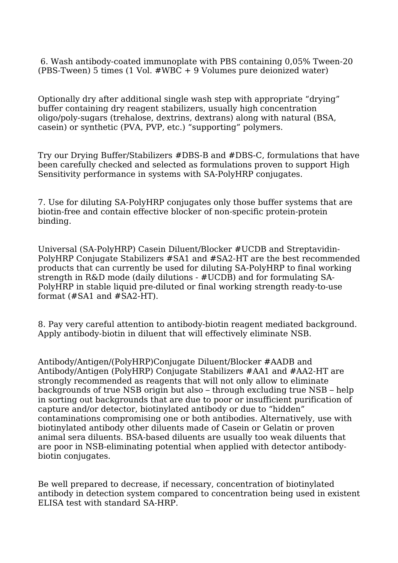6. Wash antibody-coated immunoplate with PBS containing 0,05% Tween-20 (PBS-Tween) 5 times (1 Vol. #WBC + 9 Volumes pure deionized water)

Optionally dry after additional single wash step with appropriate "drying" buffer containing dry reagent stabilizers, usually high concentration oligo/poly-sugars (trehalose, dextrins, dextrans) along with natural (BSA, casein) or synthetic (PVA, PVP, etc.) "supporting" polymers.

Try our Drying Buffer/Stabilizers #DBS-B and #DBS-C, formulations that have been carefully checked and selected as formulations proven to support High Sensitivity performance in systems with SA-PolyHRP conjugates.

7. Use for diluting SA-PolyHRP conjugates only those buffer systems that are biotin-free and contain effective blocker of non-specific protein-protein binding.

Universal (SA-PolyHRP) Casein Diluent/Blocker #UCDB and Streptavidin-PolyHRP Conjugate Stabilizers #SA1 and #SA2-HT are the best recommended products that can currently be used for diluting SA-PolyHRP to final working strength in R&D mode (daily dilutions - #UCDB) and for formulating SA-PolyHRP in stable liquid pre-diluted or final working strength ready-to-use format (#SA1 and #SA2-HT).

8. Pay very careful attention to antibody-biotin reagent mediated background. Apply antibody-biotin in diluent that will effectively eliminate NSB.

Antibody/Antigen/(PolyHRP)Conjugate Diluent/Blocker #AADB and Antibody/Antigen (PolyHRP) Conjugate Stabilizers #AA1 and #AA2-HT are strongly recommended as reagents that will not only allow to eliminate backgrounds of true NSB origin but also – through excluding true NSB – help in sorting out backgrounds that are due to poor or insufficient purification of capture and/or detector, biotinylated antibody or due to "hidden" contaminations compromising one or both antibodies. Alternatively, use with biotinylated antibody other diluents made of Casein or Gelatin or proven animal sera diluents. BSA-based diluents are usually too weak diluents that are poor in NSB-eliminating potential when applied with detector antibodybiotin conjugates.

Be well prepared to decrease, if necessary, concentration of biotinylated antibody in detection system compared to concentration being used in existent ELISA test with standard SA-HRP.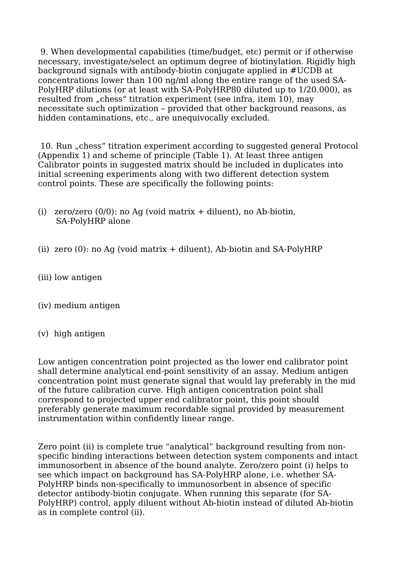9. When developmental capabilities (time/budget, etc) permit or if otherwise necessary, investigate/select an optimum degree of biotinylation. Rigidly high background signals with antibody-biotin conjugate applied in #UCDB at concentrations lower than 100 ng/ml along the entire range of the used SA-PolyHRP dilutions (or at least with SA-PolyHRP80 diluted up to 1/20.000), as resulted from "chess" titration experiment (see infra, item 10), may necessitate such optimization – provided that other background reasons, as hidden contaminations, etc., are unequivocally excluded.

10. Run "chess" titration experiment according to suggested general Protocol (Appendix 1) and scheme of principle (Table 1). At least three antigen Calibrator points in suggested matrix should be included in duplicates into initial screening experiments along with two different detection system control points. These are specifically the following points:

- (i) zero/zero  $(0/0)$ : no Ag (void matrix  $+$  diluent), no Ab-biotin, SA-PolyHRP alone
- (ii) zero  $(0)$ : no Ag (void matrix  $+$  diluent), Ab-biotin and SA-PolyHRP
- (iii) low antigen
- (iv) medium antigen
- (v) high antigen

Low antigen concentration point projected as the lower end calibrator point shall determine analytical end-point sensitivity of an assay. Medium antigen concentration point must generate signal that would lay preferably in the mid of the future calibration curve. High antigen concentration point shall correspond to projected upper end calibrator point, this point should preferably generate maximum recordable signal provided by measurement instrumentation within confidently linear range.

Zero point (ii) is complete true "analytical" background resulting from nonspecific binding interactions between detection system components and intact immunosorbent in absence of the bound analyte. Zero/zero point (i) helps to see which impact on background has SA-PolyHRP alone, i.e. whether SA-PolyHRP binds non-specifically to immunosorbent in absence of specific detector antibody-biotin conjugate. When running this separate (for SA-PolyHRP) control, apply diluent without Ab-biotin instead of diluted Ab-biotin as in complete control (ii).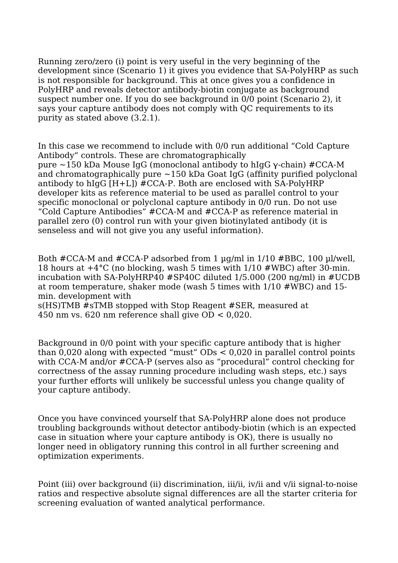Running zero/zero (i) point is very useful in the very beginning of the development since (Scenario 1) it gives you evidence that SA-PolyHRP as such is not responsible for background. This at once gives you a confidence in PolyHRP and reveals detector antibody-biotin conjugate as background suspect number one. If you do see background in 0/0 point (Scenario 2), it says your capture antibody does not comply with QC requirements to its purity as stated above (3.2.1).

In this case we recommend to include with 0/0 run additional "Cold Capture Antibody" controls. These are chromatographically pure ~150 kDa Mouse IgG (monoclonal antibody to hIgG γ-chain) #CCA-M and chromatographically pure  $\sim$ 150 kDa Goat IgG (affinity purified polyclonal antibody to hIgG [H+L]) #CCA-P. Both are enclosed with SA-PolyHRP developer kits as reference material to be used as parallel control to your specific monoclonal or polyclonal capture antibody in 0/0 run. Do not use "Cold Capture Antibodies" #CCA-M and #CCA-P as reference material in parallel zero (0) control run with your given biotinylated antibody (it is senseless and will not give you any useful information).

Both #CCA-M and #CCA-P adsorbed from 1 µg/ml in 1/10 #BBC, 100 µl/well, 18 hours at +4°C (no blocking, wash 5 times with 1/10 #WBC) after 30-min. incubation with SA-PolyHRP40 #SP40C diluted 1/5.000 (200 ng/ml) in #UCDB at room temperature, shaker mode (wash 5 times with 1/10 #WBC) and 15 min. development with

s(HS)TMB #sTMB stopped with Stop Reagent #SER, measured at 450 nm vs. 620 nm reference shall give OD < 0,020.

Background in 0/0 point with your specific capture antibody that is higher than 0,020 along with expected "must" ODs < 0,020 in parallel control points with CCA-M and/or #CCA-P (serves also as "procedural" control checking for correctness of the assay running procedure including wash steps, etc.) says your further efforts will unlikely be successful unless you change quality of your capture antibody.

Once you have convinced yourself that SA-PolyHRP alone does not produce troubling backgrounds without detector antibody-biotin (which is an expected case in situation where your capture antibody is OK), there is usually no longer need in obligatory running this control in all further screening and optimization experiments.

Point (iii) over background (ii) discrimination, iii/ii, iv/ii and v/ii signal-to-noise ratios and respective absolute signal differences are all the starter criteria for screening evaluation of wanted analytical performance.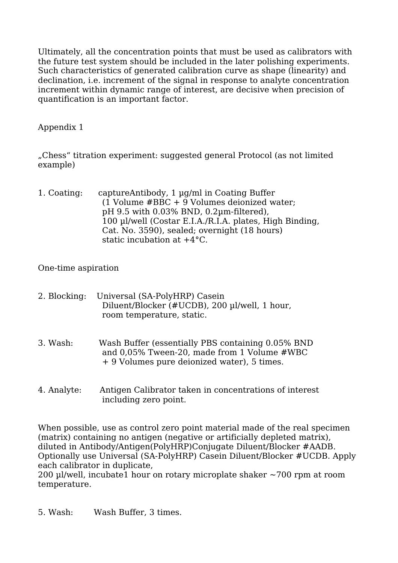Ultimately, all the concentration points that must be used as calibrators with the future test system should be included in the later polishing experiments. Such characteristics of generated calibration curve as shape (linearity) and declination, i.e. increment of the signal in response to analyte concentration increment within dynamic range of interest, are decisive when precision of quantification is an important factor.

## Appendix 1

"Chess" titration experiment: suggested general Protocol (as not limited example)

1. Coating: captureAntibody, 1 µg/ml in Coating Buffer (1 Volume #BBC + 9 Volumes deionized water; pH 9.5 with 0.03% BND, 0.2µm-filtered), 100 µl/well (Costar E.I.A./R.I.A. plates, High Binding, Cat. No. 3590), sealed; overnight (18 hours) static incubation at +4°C.

### One-time aspiration

- 2. Blocking: Universal (SA-PolyHRP) Casein Diluent/Blocker (#UCDB), 200 µl/well, 1 hour, room temperature, static.
- 3. Wash: Wash Buffer (essentially PBS containing 0.05% BND and 0,05% Tween-20, made from 1 Volume #WBC + 9 Volumes pure deionized water), 5 times.
- 4. Analyte: Antigen Calibrator taken in concentrations of interest including zero point.

When possible, use as control zero point material made of the real specimen (matrix) containing no antigen (negative or artificially depleted matrix), diluted in Antibody/Antigen(PolyHRP)Conjugate Diluent/Blocker #AADB. Optionally use Universal (SA-PolyHRP) Casein Diluent/Blocker #UCDB. Apply each calibrator in duplicate,

200 µl/well, incubate1 hour on rotary microplate shaker  $\sim$ 700 rpm at room temperature.

5. Wash: Wash Buffer, 3 times.